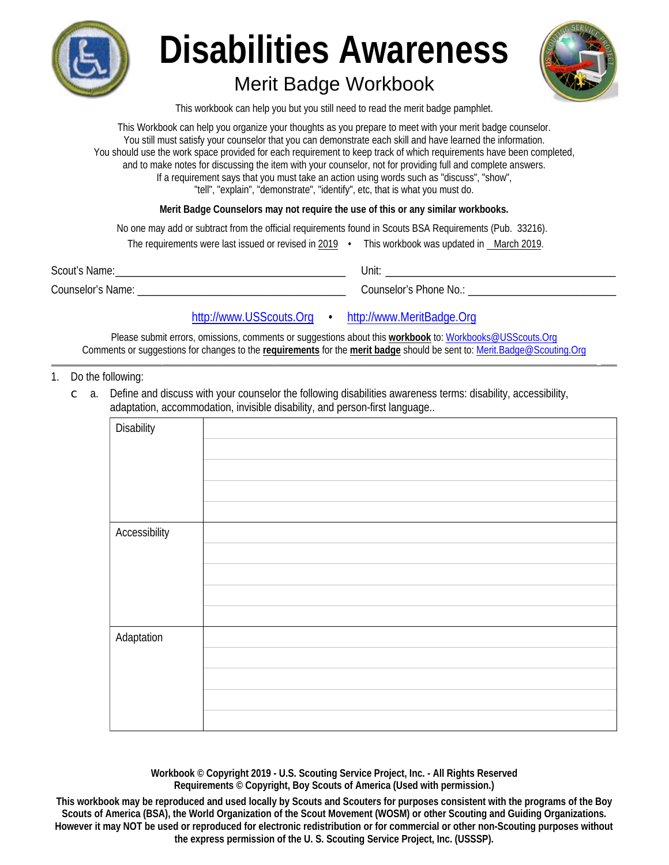

# **Disabilities Awareness**

## **Merit Badge Workbook**



This workbook can help you but you still need to read the merit badge pamphlet.

This Workbook can help you organize your thoughts as you prepare to meet with your merit badge counselor. You still must satisfy your counselor that you can demonstrate each skill and have learned the information. You should use the work space provided for each requirement to keep track of which requirements have been completed, and to make notes for discussing the item with your counselor, not for providing full and complete answers. If a requirement says that you must take an action using words such as "discuss", "show", "tell", "explain", "demonstrate", "identify", etc, that is what you must do.

Merit Badge Counselors may not require the use of this or any similar workbooks.

No one may add or subtract from the official requirements found in Scouts BSA Requirements (Pub. 33216).

|                   | The requirements were last issued or revised in 2019 $\cdot$ | This workbook was updated in March 2019. |
|-------------------|--------------------------------------------------------------|------------------------------------------|
| Scout's Name:     |                                                              | Unit:                                    |
| Counselor's Name: |                                                              | Counselor's Phone No.:                   |

#### http://www.USScouts.Org • http://www.MeritBadge.Org

Please submit errors, omissions, comments or suggestions about this workbook to: Workbooks@USScouts.Org Comments or suggestions for changes to the requirements for the merit badge should be sent to: Merit.Badge@Scouting.Org

#### 1. Do the following:

Define and discuss with your counselor the following disabilities awareness terms: disability, accessibility,  $\subset$  a. adaptation, accommodation, invisible disability, and person-first language...

| <b>Disability</b>    |  |
|----------------------|--|
|                      |  |
|                      |  |
|                      |  |
|                      |  |
|                      |  |
|                      |  |
|                      |  |
| <b>Accessibility</b> |  |
|                      |  |
|                      |  |
|                      |  |
|                      |  |
|                      |  |
|                      |  |
|                      |  |
| Adaptation           |  |
|                      |  |
|                      |  |
|                      |  |
|                      |  |
|                      |  |
|                      |  |
|                      |  |

Workbook © Copyright 2019 - U.S. Scouting Service Project, Inc. - All Rights Reserved Requirements © Copyright, Boy Scouts of America (Used with permission.)

This workbook may be reproduced and used locally by Scouts and Scouters for purposes consistent with the programs of the Boy Scouts of America (BSA), the World Organization of the Scout Movement (WOSM) or other Scouting and Guiding Organizations. However it may NOT be used or reproduced for electronic redistribution or for commercial or other non-Scouting purposes without the express permission of the U.S. Scouting Service Project, Inc. (USSSP).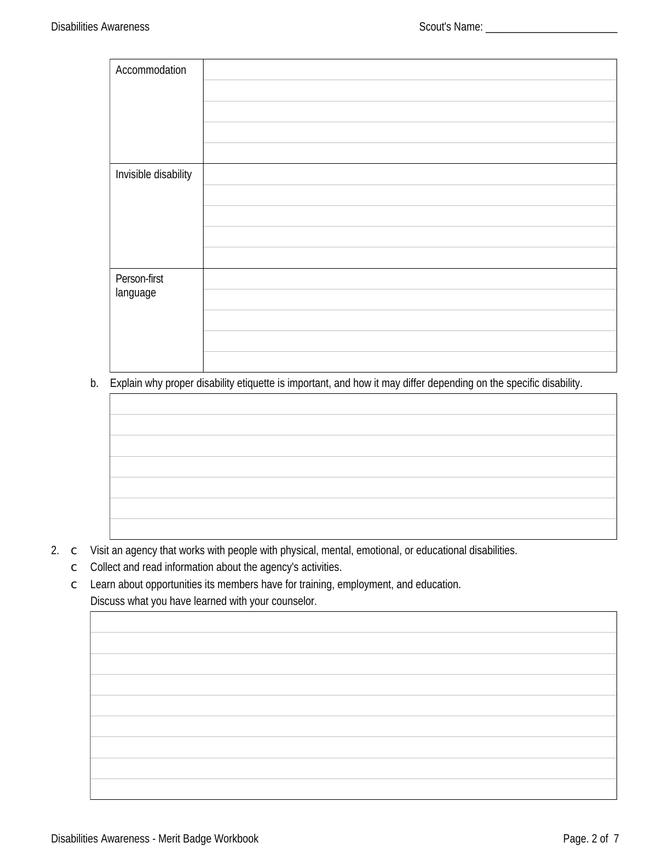| Accommodation        |  |
|----------------------|--|
|                      |  |
|                      |  |
|                      |  |
|                      |  |
| Invisible disability |  |
|                      |  |
|                      |  |
|                      |  |
|                      |  |
| Person-first         |  |
| language             |  |
|                      |  |
|                      |  |
|                      |  |

b. Explain why proper disability etiquette is important, and how it may differ depending on the specific disability.



- 2. c Visit an agency that works with people with physical, mental, emotional, or educational disabilities.
	- C Collect and read information about the agency's activities.
	- C Learn about opportunities its members have for training, employment, and education. Discuss what you have learned with your counselor.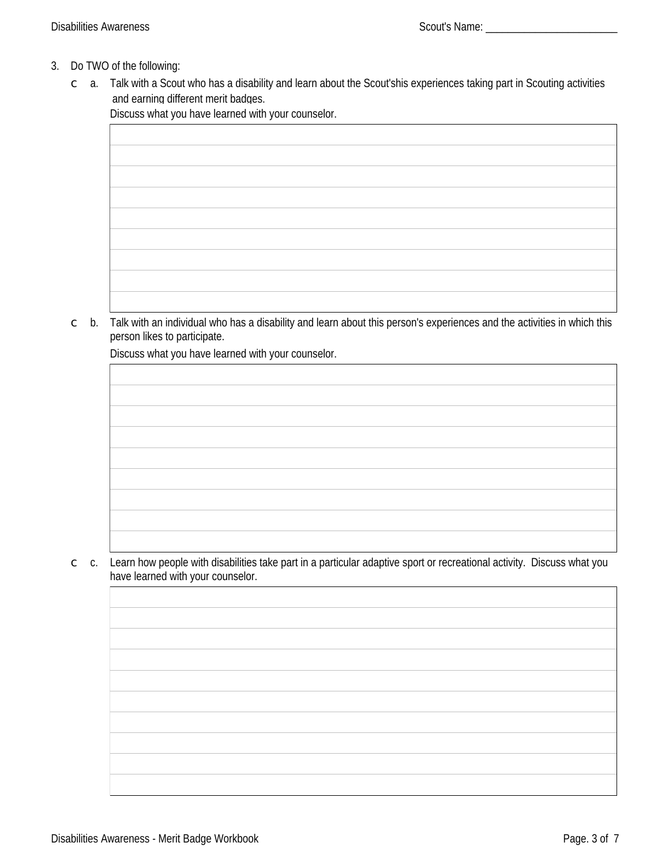### 3. Do TWO of the following:

c a. Talk with a Scout who has a disability and learn about the Scout'shis experiences taking part in Scouting activities and earning different merit badges.

Discuss what you have learned with your counselor.

## c b. Talk with an individual who has a disability and learn about this person's experiences and the activities in which this person likes to participate.

Discuss what you have learned with your counselor.

 $\degree$  c. Learn how people with disabilities take part in a particular adaptive sport or recreational activity. Discuss what you have learned with your counselor.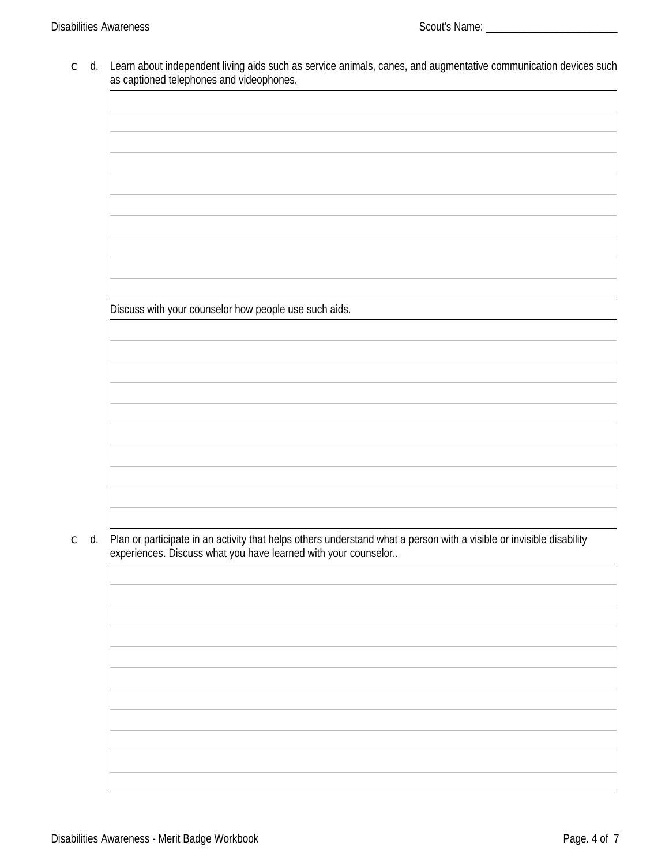c d. Learn about independent living aids such as service animals, canes, and augmentative communication devices such as captioned telephones and videophones.

Discuss with your counselor how people use such aids.

d. Plan or participate in an activity that helps others understand what a person with a visible or invisible disability  $\mathsf C$ experiences. Discuss what you have learned with your counselor..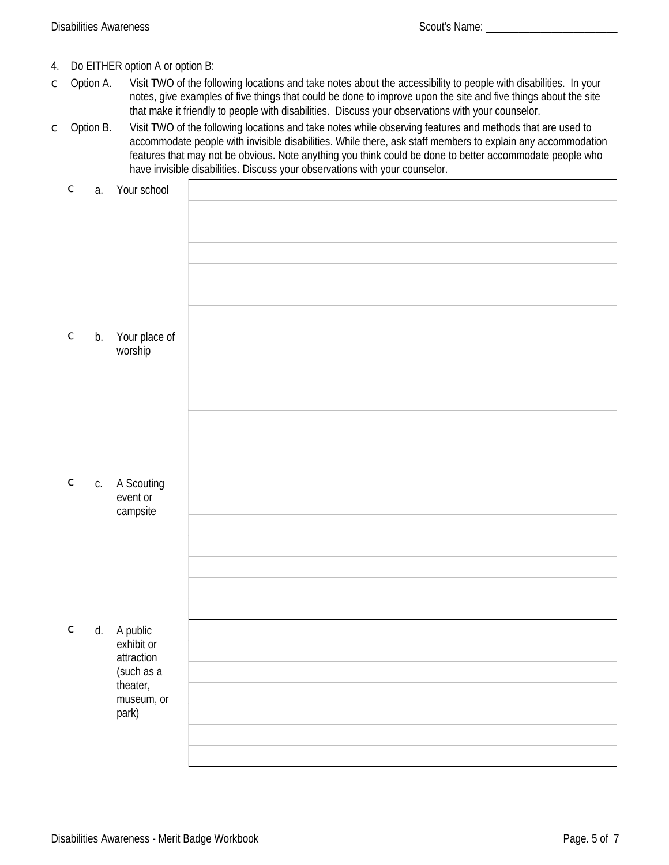- Do EITHER option A or option B: 4.
- Option A. Visit TWO of the following locations and take notes about the accessibility to people with disabilities. In your  $\overline{C}$ notes, give examples of five things that could be done to improve upon the site and five things about the site that make it friendly to people with disabilities. Discuss your observations with your counselor.
- Option B. Visit TWO of the following locations and take notes while observing features and methods that are used to  $\subset$ accommodate people with invisible disabilities. While there, ask staff members to explain any accommodation features that may not be obvious. Note anything you think could be done to better accommodate people who have invisible disabilities. Discuss your observations with your counselor.

| $\mathsf C$ |    | a. Your school            |  |
|-------------|----|---------------------------|--|
|             |    |                           |  |
|             |    |                           |  |
|             |    |                           |  |
|             |    |                           |  |
|             |    |                           |  |
|             |    |                           |  |
|             |    |                           |  |
| $\subset$   | b. | Your place of             |  |
|             |    | worship                   |  |
|             |    |                           |  |
|             |    |                           |  |
|             |    |                           |  |
|             |    |                           |  |
|             |    |                           |  |
|             |    |                           |  |
| $\mathsf C$ |    | c. A Scouting             |  |
|             |    | event or<br>campsite      |  |
|             |    |                           |  |
|             |    |                           |  |
|             |    |                           |  |
|             |    |                           |  |
|             |    |                           |  |
| $\mathsf C$ |    |                           |  |
|             |    | d. A public<br>exhibit or |  |
|             |    | attraction                |  |
|             |    | (such as a                |  |
|             |    | theater,<br>museum, or    |  |
|             |    | park)                     |  |
|             |    |                           |  |
|             |    |                           |  |
|             |    |                           |  |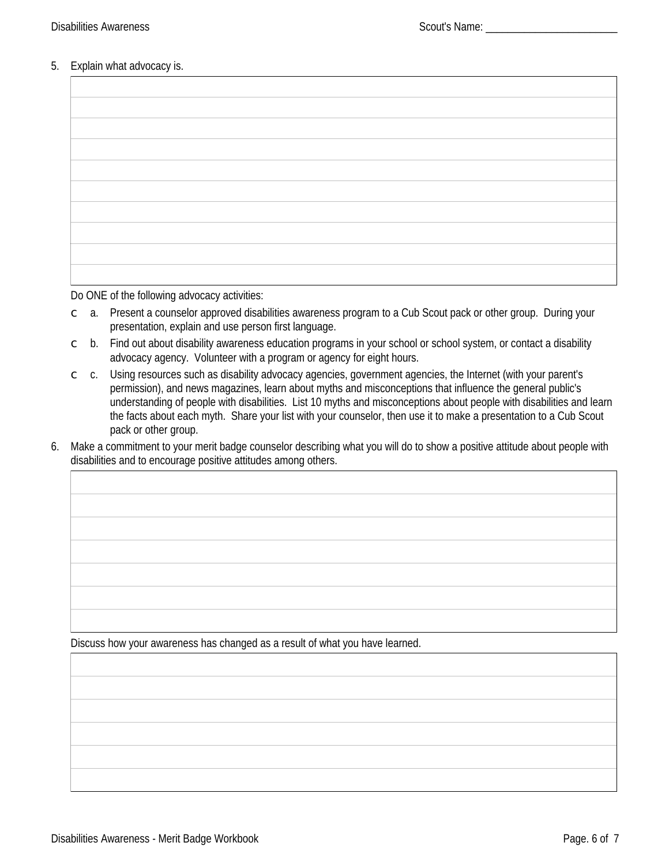#### 5. Explain what advocacy is.

Do ONE of the following advocacy activities:

- $\degree$  a. Present a counselor approved disabilities awareness program to a Cub Scout pack or other group. During your presentation, explain and use person first language.
- $\degree$  b. Find out about disability awareness education programs in your school or school system, or contact a disability advocacy agency. Volunteer with a program or agency for eight hours.
- $\epsilon$  c. Using resources such as disability advocacy agencies, government agencies, the Internet (with your parent's permission), and news magazines, learn about myths and misconceptions that influence the general public's understanding of people with disabilities. List 10 myths and misconceptions about people with disabilities and learn the facts about each myth. Share your list with your counselor, then use it to make a presentation to a Cub Scout pack or other group.
- 6. Make a commitment to your merit badge counselor describing what you will do to show a positive attitude about people with disabilities and to encourage positive attitudes among others.

Discuss how your awareness has changed as a result of what you have learned.